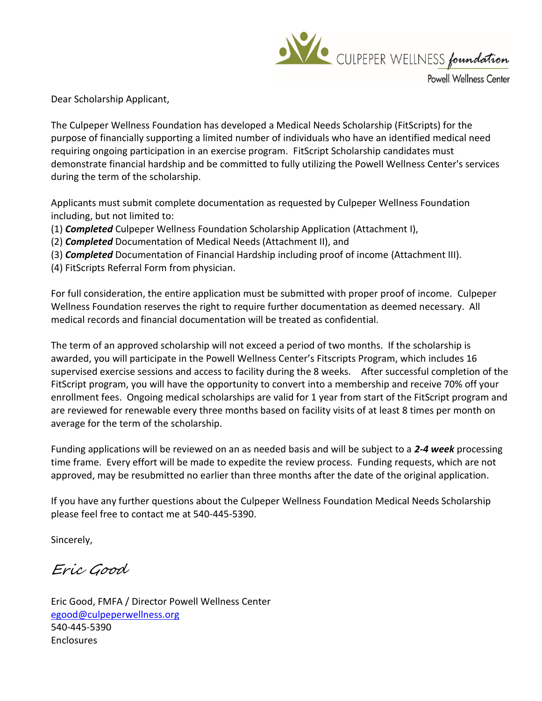

Powell Wellness Center

Dear Scholarship Applicant,

The Culpeper Wellness Foundation has developed a Medical Needs Scholarship (FitScripts) for the purpose of financially supporting a limited number of individuals who have an identified medical need requiring ongoing participation in an exercise program. FitScript Scholarship candidates must demonstrate financial hardship and be committed to fully utilizing the Powell Wellness Center's services during the term of the scholarship.

Applicants must submit complete documentation as requested by Culpeper Wellness Foundation including, but not limited to:

- (1) *Completed* Culpeper Wellness Foundation Scholarship Application (Attachment I),
- (2) *Completed* Documentation of Medical Needs (Attachment II), and
- (3) *Completed* Documentation of Financial Hardship including proof of income (Attachment III).
- (4) FitScripts Referral Form from physician.

For full consideration, the entire application must be submitted with proper proof of income. Culpeper Wellness Foundation reserves the right to require further documentation as deemed necessary. All medical records and financial documentation will be treated as confidential.

The term of an approved scholarship will not exceed a period of two months. If the scholarship is awarded, you will participate in the Powell Wellness Center's Fitscripts Program, which includes 16 supervised exercise sessions and access to facility during the 8 weeks. After successful completion of the FitScript program, you will have the opportunity to convert into a membership and receive 70% off your enrollment fees. Ongoing medical scholarships are valid for 1 year from start of the FitScript program and are reviewed for renewable every three months based on facility visits of at least 8 times per month on average for the term of the scholarship.

Funding applications will be reviewed on an as needed basis and will be subject to a *2-4 week* processing time frame. Every effort will be made to expedite the review process. Funding requests, which are not approved, may be resubmitted no earlier than three months after the date of the original application.

If you have any further questions about the Culpeper Wellness Foundation Medical Needs Scholarship please feel free to contact me at 540-445-5390.

Sincerely,

Eric Good

Eric Good, FMFA / Director Powell Wellness Center [egood@culpeperwellness.org](mailto:EGood@culpeperhospital.com) 540-445-5390 Enclosures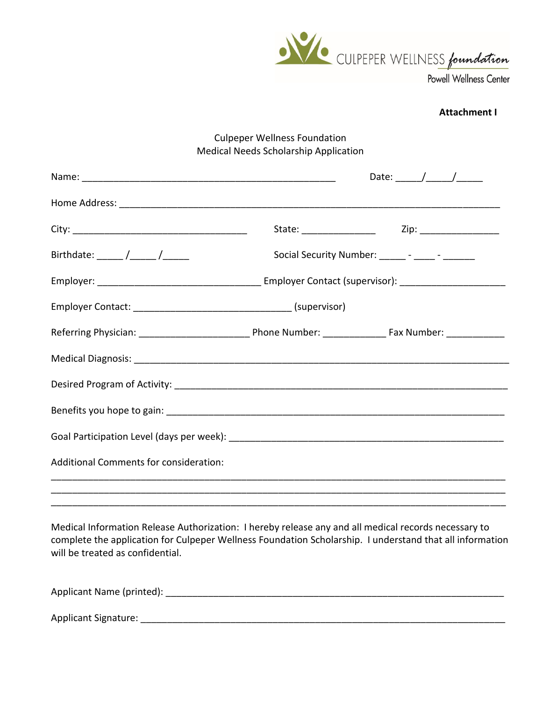

#### **Attachment I**

## Culpeper Wellness Foundation Medical Needs Scholarship Application

|                                        |                                                  | Date: $\frac{1}{\sqrt{1-\frac{1}{2}}}\frac{1}{\sqrt{1-\frac{1}{2}}}\frac{1}{\sqrt{1-\frac{1}{2}}}\frac{1}{\sqrt{1-\frac{1}{2}}}\frac{1}{\sqrt{1-\frac{1}{2}}}\frac{1}{\sqrt{1-\frac{1}{2}}}\frac{1}{\sqrt{1-\frac{1}{2}}}\frac{1}{\sqrt{1-\frac{1}{2}}}\frac{1}{\sqrt{1-\frac{1}{2}}}\frac{1}{\sqrt{1-\frac{1}{2}}}\frac{1}{\sqrt{1-\frac{1}{2}}}\frac{1}{\sqrt{1-\frac{1}{2}}}\frac{1}{\sqrt{1-\frac{1}{2}}}\frac{1}{\$ |  |
|----------------------------------------|--------------------------------------------------|--------------------------------------------------------------------------------------------------------------------------------------------------------------------------------------------------------------------------------------------------------------------------------------------------------------------------------------------------------------------------------------------------------------------------|--|
|                                        |                                                  |                                                                                                                                                                                                                                                                                                                                                                                                                          |  |
|                                        |                                                  |                                                                                                                                                                                                                                                                                                                                                                                                                          |  |
| Birthdate: _____ /_____ /______        | Social Security Number: ______ - _____ - _______ |                                                                                                                                                                                                                                                                                                                                                                                                                          |  |
|                                        |                                                  |                                                                                                                                                                                                                                                                                                                                                                                                                          |  |
|                                        |                                                  |                                                                                                                                                                                                                                                                                                                                                                                                                          |  |
|                                        |                                                  |                                                                                                                                                                                                                                                                                                                                                                                                                          |  |
|                                        |                                                  |                                                                                                                                                                                                                                                                                                                                                                                                                          |  |
|                                        |                                                  |                                                                                                                                                                                                                                                                                                                                                                                                                          |  |
|                                        |                                                  |                                                                                                                                                                                                                                                                                                                                                                                                                          |  |
|                                        |                                                  |                                                                                                                                                                                                                                                                                                                                                                                                                          |  |
| Additional Comments for consideration: |                                                  |                                                                                                                                                                                                                                                                                                                                                                                                                          |  |
|                                        |                                                  |                                                                                                                                                                                                                                                                                                                                                                                                                          |  |
|                                        |                                                  |                                                                                                                                                                                                                                                                                                                                                                                                                          |  |

Medical Information Release Authorization: I hereby release any and all medical records necessary to complete the application for Culpeper Wellness Foundation Scholarship. I understand that all information will be treated as confidential.

Applicant Name (printed): \_\_\_\_\_\_\_\_\_\_\_\_\_\_\_\_\_\_\_\_\_\_\_\_\_\_\_\_\_\_\_\_\_\_\_\_\_\_\_\_\_\_\_\_\_\_\_\_\_\_\_\_\_\_\_\_\_\_\_\_\_\_\_\_

Applicant Signature: \_\_\_\_\_\_\_\_\_\_\_\_\_\_\_\_\_\_\_\_\_\_\_\_\_\_\_\_\_\_\_\_\_\_\_\_\_\_\_\_\_\_\_\_\_\_\_\_\_\_\_\_\_\_\_\_\_\_\_\_\_\_\_\_\_\_\_\_\_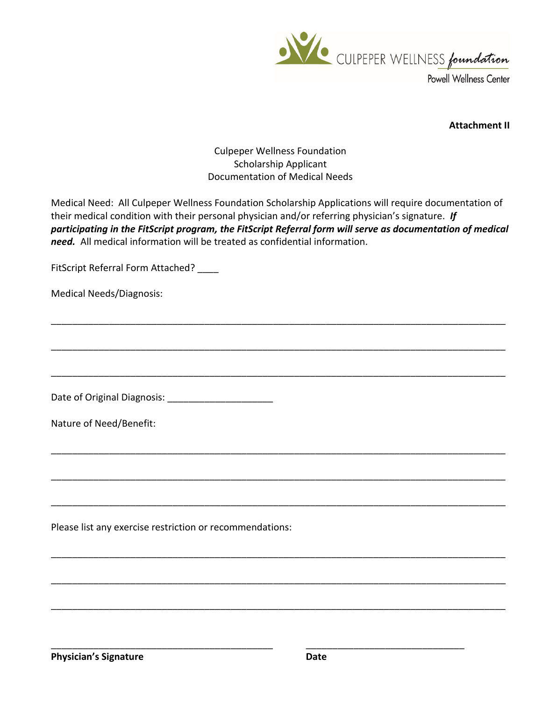

**Attachment II**

# Culpeper Wellness Foundation Scholarship Applicant Documentation of Medical Needs

Medical Need: All Culpeper Wellness Foundation Scholarship Applications will require documentation of their medical condition with their personal physician and/or referring physician's signature. *If participating in the FitScript program, the FitScript Referral form will serve as documentation of medical need.* All medical information will be treated as confidential information.

\_\_\_\_\_\_\_\_\_\_\_\_\_\_\_\_\_\_\_\_\_\_\_\_\_\_\_\_\_\_\_\_\_\_\_\_\_\_\_\_\_\_\_\_\_\_\_\_\_\_\_\_\_\_\_\_\_\_\_\_\_\_\_\_\_\_\_\_\_\_\_\_\_\_\_\_\_\_\_\_\_\_\_\_\_\_

\_\_\_\_\_\_\_\_\_\_\_\_\_\_\_\_\_\_\_\_\_\_\_\_\_\_\_\_\_\_\_\_\_\_\_\_\_\_\_\_\_\_\_\_\_\_\_\_\_\_\_\_\_\_\_\_\_\_\_\_\_\_\_\_\_\_\_\_\_\_\_\_\_\_\_\_\_\_\_\_\_\_\_\_\_\_

\_\_\_\_\_\_\_\_\_\_\_\_\_\_\_\_\_\_\_\_\_\_\_\_\_\_\_\_\_\_\_\_\_\_\_\_\_\_\_\_\_\_\_\_\_\_\_\_\_\_\_\_\_\_\_\_\_\_\_\_\_\_\_\_\_\_\_\_\_\_\_\_\_\_\_\_\_\_\_\_\_\_\_\_\_\_

\_\_\_\_\_\_\_\_\_\_\_\_\_\_\_\_\_\_\_\_\_\_\_\_\_\_\_\_\_\_\_\_\_\_\_\_\_\_\_\_\_\_\_\_\_\_\_\_\_\_\_\_\_\_\_\_\_\_\_\_\_\_\_\_\_\_\_\_\_\_\_\_\_\_\_\_\_\_\_\_\_\_\_\_\_\_

\_\_\_\_\_\_\_\_\_\_\_\_\_\_\_\_\_\_\_\_\_\_\_\_\_\_\_\_\_\_\_\_\_\_\_\_\_\_\_\_\_\_\_\_\_\_\_\_\_\_\_\_\_\_\_\_\_\_\_\_\_\_\_\_\_\_\_\_\_\_\_\_\_\_\_\_\_\_\_\_\_\_\_\_\_\_

\_\_\_\_\_\_\_\_\_\_\_\_\_\_\_\_\_\_\_\_\_\_\_\_\_\_\_\_\_\_\_\_\_\_\_\_\_\_\_\_\_\_\_\_\_\_\_\_\_\_\_\_\_\_\_\_\_\_\_\_\_\_\_\_\_\_\_\_\_\_\_\_\_\_\_\_\_\_\_\_\_\_\_\_\_\_

\_\_\_\_\_\_\_\_\_\_\_\_\_\_\_\_\_\_\_\_\_\_\_\_\_\_\_\_\_\_\_\_\_\_\_\_\_\_\_\_\_\_\_\_\_\_\_\_\_\_\_\_\_\_\_\_\_\_\_\_\_\_\_\_\_\_\_\_\_\_\_\_\_\_\_\_\_\_\_\_\_\_\_\_\_\_

\_\_\_\_\_\_\_\_\_\_\_\_\_\_\_\_\_\_\_\_\_\_\_\_\_\_\_\_\_\_\_\_\_\_\_\_\_\_\_\_\_\_\_\_\_\_\_\_\_\_\_\_\_\_\_\_\_\_\_\_\_\_\_\_\_\_\_\_\_\_\_\_\_\_\_\_\_\_\_\_\_\_\_\_\_\_

\_\_\_\_\_\_\_\_\_\_\_\_\_\_\_\_\_\_\_\_\_\_\_\_\_\_\_\_\_\_\_\_\_\_\_\_\_\_\_\_\_\_\_\_\_\_\_\_\_\_\_\_\_\_\_\_\_\_\_\_\_\_\_\_\_\_\_\_\_\_\_\_\_\_\_\_\_\_\_\_\_\_\_\_\_\_

\_\_\_\_\_\_\_\_\_\_\_\_\_\_\_\_\_\_\_\_\_\_\_\_\_\_\_\_\_\_\_\_\_\_\_\_\_\_\_\_\_\_ \_\_\_\_\_\_\_\_\_\_\_\_\_\_\_\_\_\_\_\_\_\_\_\_\_\_\_\_\_\_

FitScript Referral Form Attached? \_\_\_\_

Medical Needs/Diagnosis:

Date of Original Diagnosis: \_\_\_\_\_\_\_\_\_\_\_\_\_\_\_\_\_\_\_\_

Nature of Need/Benefit:

Please list any exercise restriction or recommendations: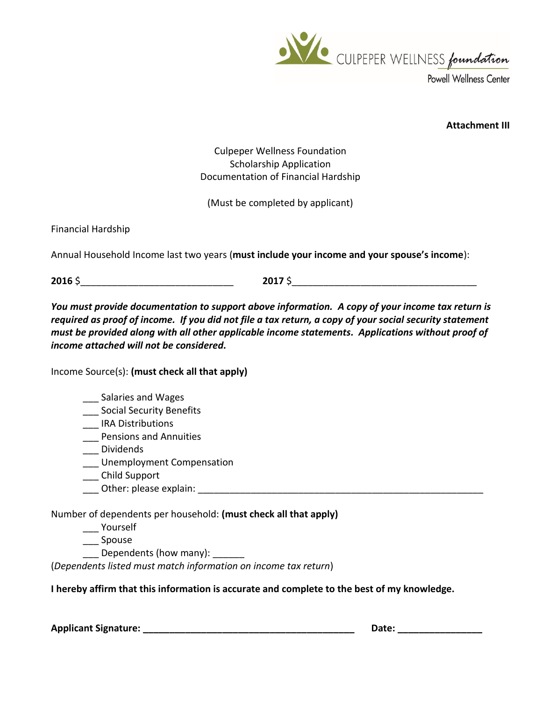

**Attachment III**

Culpeper Wellness Foundation Scholarship Application Documentation of Financial Hardship

(Must be completed by applicant)

Financial Hardship

Annual Household Income last two years (**must include your income and your spouse's income**):

**2016** \$

*You must provide documentation to support above information. A copy of your income tax return is required as proof of income. If you did not file a tax return, a copy of your social security statement must be provided along with all other applicable income statements. Applications without proof of income attached will not be considered.*

Income Source(s): **(must check all that apply)**

### \_\_\_ Salaries and Wages

\_\_\_ Social Security Benefits

\_\_\_ IRA Distributions

\_\_\_ Pensions and Annuities

\_\_\_ Dividends

\_\_\_ Unemployment Compensation

\_\_\_ Child Support

\_\_\_ Other: please explain: \_\_\_\_\_\_\_\_\_\_\_\_\_\_\_\_\_\_\_\_\_\_\_\_\_\_\_\_\_\_\_\_\_\_\_\_\_\_\_\_\_\_\_\_\_\_\_\_\_\_\_\_\_\_

Number of dependents per household: **(must check all that apply)**

\_\_\_ Yourself

\_\_\_ Spouse

Dependents (how many):

(*Dependents listed must match information on income tax return*)

**I hereby affirm that this information is accurate and complete to the best of my knowledge.**

**Applicant Signature: \_\_\_\_\_\_\_\_\_\_\_\_\_\_\_\_\_\_\_\_\_\_\_\_\_\_\_\_\_\_\_\_\_\_\_\_\_\_\_\_ Date: \_\_\_\_\_\_\_\_\_\_\_\_\_\_\_\_**